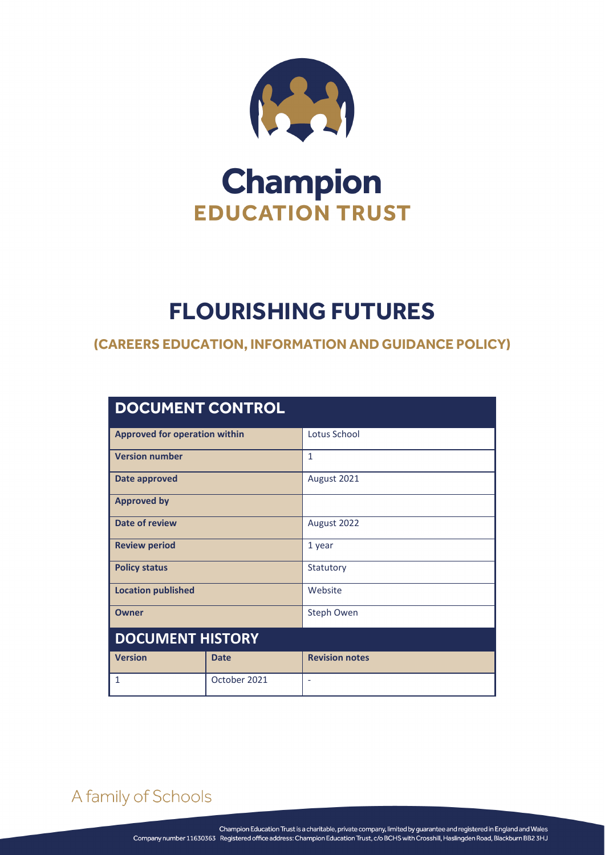

# **Champion EDUCATION TRUST**

## **FLOURISHING FUTURES**

#### **(CAREERS EDUCATION, INFORMATION AND GUIDANCE POLICY)**

| <b>DOCUMENT CONTROL</b>              |              |                       |  |
|--------------------------------------|--------------|-----------------------|--|
| <b>Approved for operation within</b> |              | Lotus School          |  |
| <b>Version number</b>                |              | $\mathbf{1}$          |  |
| Date approved                        |              | August 2021           |  |
| <b>Approved by</b>                   |              |                       |  |
| <b>Date of review</b>                |              | August 2022           |  |
| <b>Review period</b>                 |              | 1 year                |  |
| <b>Policy status</b>                 |              | Statutory             |  |
| <b>Location published</b>            |              | Website               |  |
| <b>Owner</b>                         |              | Steph Owen            |  |
| <b>DOCUMENT HISTORY</b>              |              |                       |  |
| <b>Version</b>                       | <b>Date</b>  | <b>Revision notes</b> |  |
| 1                                    | October 2021 | ÷.                    |  |

### A family of Schools

FLOURISHING FUTURES Page **1** of **8**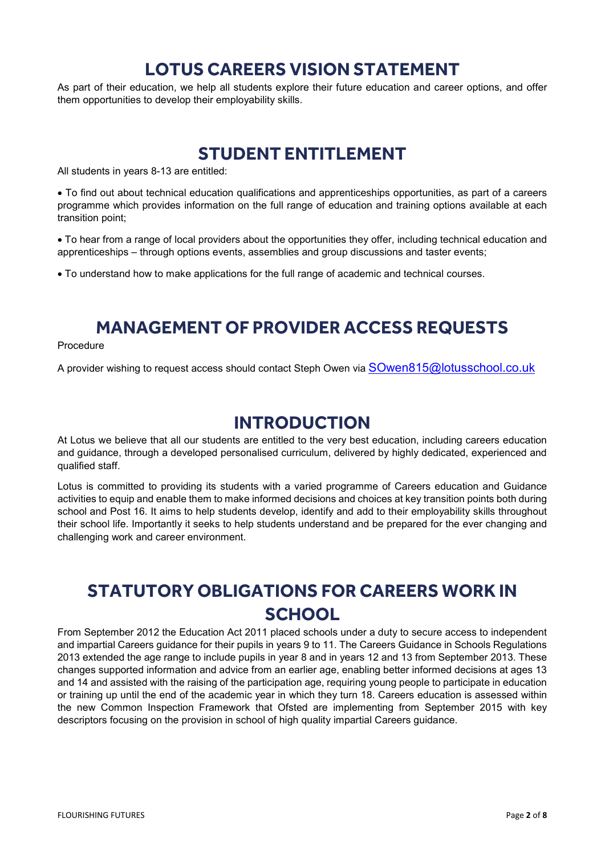#### **LOTUS CAREERS VISION STATEMENT**

As part of their education, we help all students explore their future education and career options, and offer them opportunities to develop their employability skills.

#### **STUDENT ENTITLEMENT**

All students in years 8-13 are entitled:

• To find out about technical education qualifications and apprenticeships opportunities, as part of a careers programme which provides information on the full range of education and training options available at each transition point;

• To hear from a range of local providers about the opportunities they offer, including technical education and apprenticeships – through options events, assemblies and group discussions and taster events;

• To understand how to make applications for the full range of academic and technical courses.

#### **MANAGEMENT OF PROVIDER ACCESS REQUESTS**

#### Procedure

A provider wishing to request access should contact Steph Owen via [SOwen815@lotusschool.co.uk](mailto:SOwen815@lotusschool.co.uk)

#### **INTRODUCTION**

At Lotus we believe that all our students are entitled to the very best education, including careers education and guidance, through a developed personalised curriculum, delivered by highly dedicated, experienced and qualified staff.

Lotus is committed to providing its students with a varied programme of Careers education and Guidance activities to equip and enable them to make informed decisions and choices at key transition points both during school and Post 16. It aims to help students develop, identify and add to their employability skills throughout their school life. Importantly it seeks to help students understand and be prepared for the ever changing and challenging work and career environment.

### **STATUTORY OBLIGATIONS FOR CAREERS WORK IN SCHOOL**

From September 2012 the Education Act 2011 placed schools under a duty to secure access to independent and impartial Careers guidance for their pupils in years 9 to 11. The Careers Guidance in Schools Regulations 2013 extended the age range to include pupils in year 8 and in years 12 and 13 from September 2013. These changes supported information and advice from an earlier age, enabling better informed decisions at ages 13 and 14 and assisted with the raising of the participation age, requiring young people to participate in education or training up until the end of the academic year in which they turn 18. Careers education is assessed within the new Common Inspection Framework that Ofsted are implementing from September 2015 with key descriptors focusing on the provision in school of high quality impartial Careers guidance.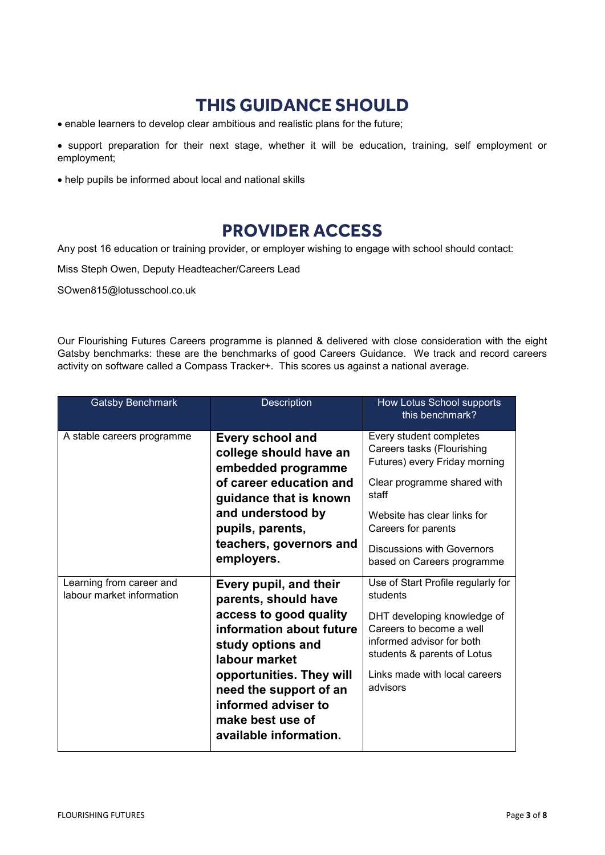### **THIS GUIDANCE SHOULD**

- enable learners to develop clear ambitious and realistic plans for the future;
- support preparation for their next stage, whether it will be education, training, self employment or employment;
- help pupils be informed about local and national skills

#### **PROVIDER ACCESS**

Any post 16 education or training provider, or employer wishing to engage with school should contact:

Miss Steph Owen, Deputy Headteacher/Careers Lead

SOwen815@lotusschool.co.uk

Our Flourishing Futures Careers programme is planned & delivered with close consideration with the eight Gatsby benchmarks: these are the benchmarks of good Careers Guidance. We track and record careers activity on software called a Compass Tracker+. This scores us against a national average.

| <b>Gatsby Benchmark</b>                               | <b>Description</b>                                                                                                                                                                                                                                                    | How Lotus School supports<br>this benchmark?                                                                                                                                                                                                            |
|-------------------------------------------------------|-----------------------------------------------------------------------------------------------------------------------------------------------------------------------------------------------------------------------------------------------------------------------|---------------------------------------------------------------------------------------------------------------------------------------------------------------------------------------------------------------------------------------------------------|
| A stable careers programme                            | <b>Every school and</b><br>college should have an<br>embedded programme<br>of career education and<br>guidance that is known<br>and understood by<br>pupils, parents,<br>teachers, governors and<br>employers.                                                        | Every student completes<br>Careers tasks (Flourishing<br>Futures) every Friday morning<br>Clear programme shared with<br>staff<br>Website has clear links for<br>Careers for parents<br><b>Discussions with Governors</b><br>based on Careers programme |
| Learning from career and<br>labour market information | Every pupil, and their<br>parents, should have<br>access to good quality<br>information about future<br>study options and<br>labour market<br>opportunities. They will<br>need the support of an<br>informed adviser to<br>make best use of<br>available information. | Use of Start Profile regularly for<br>students<br>DHT developing knowledge of<br>Careers to become a well<br>informed advisor for both<br>students & parents of Lotus<br>Links made with local careers<br>advisors                                      |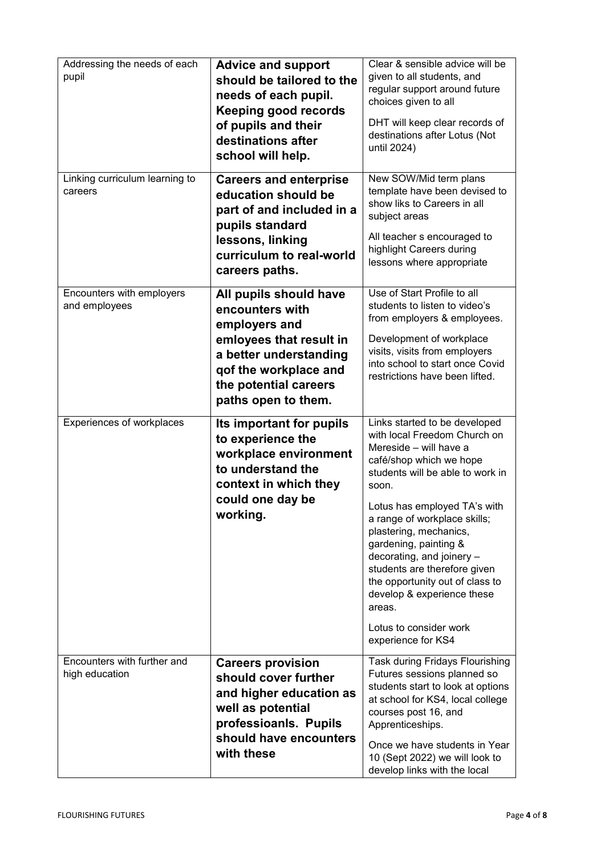| Addressing the needs of each<br>pupil         | <b>Advice and support</b><br>should be tailored to the<br>needs of each pupil.<br><b>Keeping good records</b><br>of pupils and their<br>destinations after<br>school will help.          | Clear & sensible advice will be<br>given to all students, and<br>regular support around future<br>choices given to all<br>DHT will keep clear records of<br>destinations after Lotus (Not<br>until 2024)                                                                                                                                                                                                                                                                   |
|-----------------------------------------------|------------------------------------------------------------------------------------------------------------------------------------------------------------------------------------------|----------------------------------------------------------------------------------------------------------------------------------------------------------------------------------------------------------------------------------------------------------------------------------------------------------------------------------------------------------------------------------------------------------------------------------------------------------------------------|
| Linking curriculum learning to<br>careers     | <b>Careers and enterprise</b><br>education should be<br>part of and included in a<br>pupils standard<br>lessons, linking<br>curriculum to real-world<br>careers paths.                   | New SOW/Mid term plans<br>template have been devised to<br>show liks to Careers in all<br>subject areas<br>All teacher s encouraged to<br>highlight Careers during<br>lessons where appropriate                                                                                                                                                                                                                                                                            |
| Encounters with employers<br>and employees    | All pupils should have<br>encounters with<br>employers and<br>emloyees that result in<br>a better understanding<br>qof the workplace and<br>the potential careers<br>paths open to them. | Use of Start Profile to all<br>students to listen to video's<br>from employers & employees.<br>Development of workplace<br>visits, visits from employers<br>into school to start once Covid<br>restrictions have been lifted.                                                                                                                                                                                                                                              |
| Experiences of workplaces                     | Its important for pupils<br>to experience the<br>workplace environment<br>to understand the<br>context in which they<br>could one day be<br>working.                                     | Links started to be developed<br>with local Freedom Church on<br>Mereside - will have a<br>café/shop which we hope<br>students will be able to work in<br>soon.<br>Lotus has employed TA's with<br>a range of workplace skills;<br>plastering, mechanics,<br>gardening, painting &<br>decorating, and joinery -<br>students are therefore given<br>the opportunity out of class to<br>develop & experience these<br>areas.<br>Lotus to consider work<br>experience for KS4 |
| Encounters with further and<br>high education | <b>Careers provision</b><br>should cover further<br>and higher education as<br>well as potential<br>professioanls. Pupils<br>should have encounters<br>with these                        | Task during Fridays Flourishing<br>Futures sessions planned so<br>students start to look at options<br>at school for KS4, local college<br>courses post 16, and<br>Apprenticeships.<br>Once we have students in Year<br>10 (Sept 2022) we will look to<br>develop links with the local                                                                                                                                                                                     |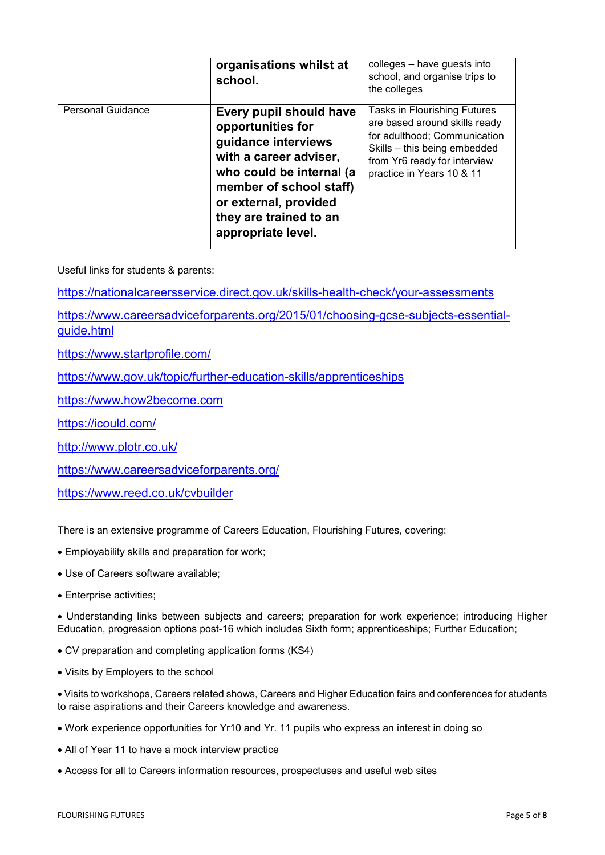|                          | organisations whilst at<br>school.                                                                                                                                                                                            | colleges - have guests into<br>school, and organise trips to<br>the colleges                                                                                                               |
|--------------------------|-------------------------------------------------------------------------------------------------------------------------------------------------------------------------------------------------------------------------------|--------------------------------------------------------------------------------------------------------------------------------------------------------------------------------------------|
| <b>Personal Guidance</b> | Every pupil should have<br>opportunities for<br>guidance interviews<br>with a career adviser,<br>who could be internal (a<br>member of school staff)<br>or external, provided<br>they are trained to an<br>appropriate level. | Tasks in Flourishing Futures<br>are based around skills ready<br>for adulthood; Communication<br>Skills - this being embedded<br>from Yr6 ready for interview<br>practice in Years 10 & 11 |

Useful links for students & parents:

<https://nationalcareersservice.direct.gov.uk/skills-health-check/your-assessments>

[https://www.careersadviceforparents.org/2015/01/choosing-gcse-subjects-essential](https://www.careersadviceforparents.org/2015/01/choosing-gcse-subjects-essential-guide.html)[guide.html](https://www.careersadviceforparents.org/2015/01/choosing-gcse-subjects-essential-guide.html)

<https://www.startprofile.com/>

<https://www.gov.uk/topic/further-education-skills/apprenticeships>

[https://www.how2become.com](https://www.how2become.com/)

<https://icould.com/>

<http://www.plotr.co.uk/>

<https://www.careersadviceforparents.org/>

<https://www.reed.co.uk/cvbuilder>

There is an extensive programme of Careers Education, Flourishing Futures, covering:

- Employability skills and preparation for work;
- Use of Careers software available;
- Enterprise activities;

• Understanding links between subjects and careers; preparation for work experience; introducing Higher Education, progression options post-16 which includes Sixth form; apprenticeships; Further Education;

- CV preparation and completing application forms (KS4)
- Visits by Employers to the school

• Visits to workshops, Careers related shows, Careers and Higher Education fairs and conferences for students to raise aspirations and their Careers knowledge and awareness.

- Work experience opportunities for Yr10 and Yr. 11 pupils who express an interest in doing so
- All of Year 11 to have a mock interview practice
- Access for all to Careers information resources, prospectuses and useful web sites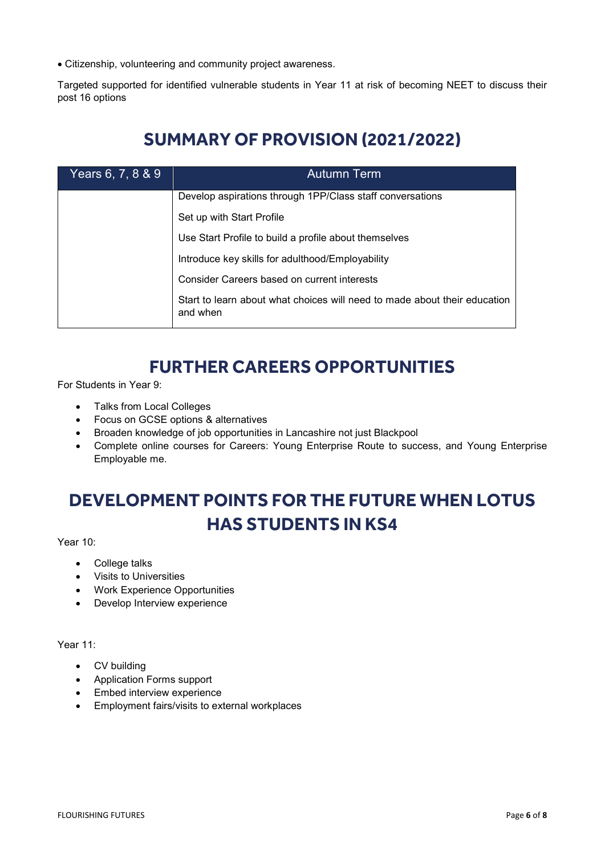• Citizenship, volunteering and community project awareness.

Targeted supported for identified vulnerable students in Year 11 at risk of becoming NEET to discuss their post 16 options

### **SUMMARY OF PROVISION (2021/2022)**

| Years 6, 7, 8 & 9 | <b>Autumn</b> Term                                                                    |  |  |  |
|-------------------|---------------------------------------------------------------------------------------|--|--|--|
|                   | Develop aspirations through 1PP/Class staff conversations                             |  |  |  |
|                   | Set up with Start Profile                                                             |  |  |  |
|                   | Use Start Profile to build a profile about themselves                                 |  |  |  |
|                   | Introduce key skills for adulthood/Employability                                      |  |  |  |
|                   | Consider Careers based on current interests                                           |  |  |  |
|                   | Start to learn about what choices will need to made about their education<br>and when |  |  |  |

### **FURTHER CAREERS OPPORTUNITIES**

For Students in Year 9:

- Talks from Local Colleges
- Focus on GCSE options & alternatives
- Broaden knowledge of job opportunities in Lancashire not just Blackpool
- Complete online courses for Careers: Young Enterprise Route to success, and Young Enterprise Employable me.

## **DEVELOPMENT POINTS FOR THE FUTURE WHEN LOTUS HAS STUDENTS IN KS4**

Year 10:

- College talks
- Visits to Universities
- Work Experience Opportunities
- Develop Interview experience

Year 11:

- CV building
- Application Forms support
- Embed interview experience
- Employment fairs/visits to external workplaces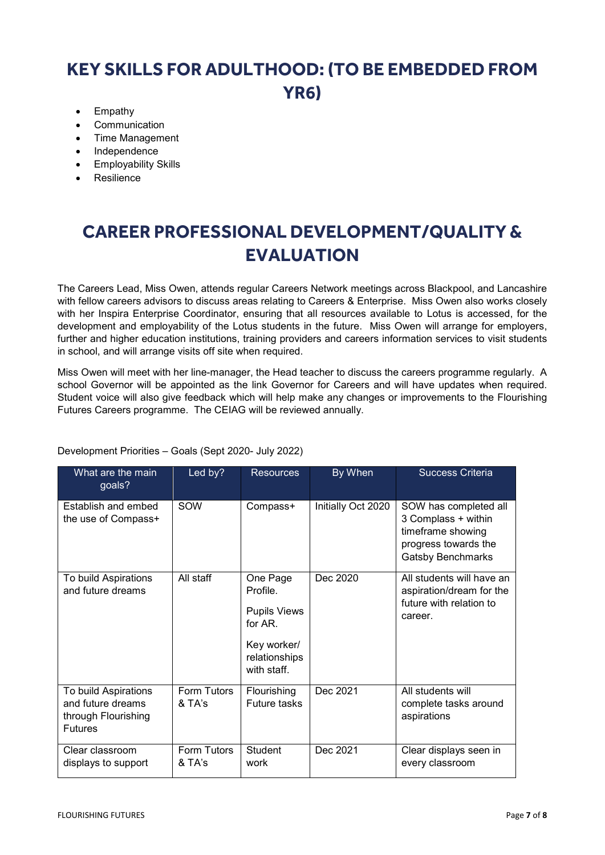### **KEY SKILLS FOR ADULTHOOD: (TO BE EMBEDDED FROM YR6)**

- Empathy
- **Communication**
- Time Management
- Independence
- Employability Skills
- Resilience

## **CAREER PROFESSIONAL DEVELOPMENT/QUALITY & EVALUATION**

The Careers Lead, Miss Owen, attends regular Careers Network meetings across Blackpool, and Lancashire with fellow careers advisors to discuss areas relating to Careers & Enterprise. Miss Owen also works closely with her Inspira Enterprise Coordinator, ensuring that all resources available to Lotus is accessed, for the development and employability of the Lotus students in the future. Miss Owen will arrange for employers, further and higher education institutions, training providers and careers information services to visit students in school, and will arrange visits off site when required.

Miss Owen will meet with her line-manager, the Head teacher to discuss the careers programme regularly. A school Governor will be appointed as the link Governor for Careers and will have updates when required. Student voice will also give feedback which will help make any changes or improvements to the Flourishing Futures Careers programme. The CEIAG will be reviewed annually.

| What are the main<br>goals?                                                        | Led by?               | <b>Resources</b>                                                                                         | By When            | <b>Success Criteria</b>                                                                                               |
|------------------------------------------------------------------------------------|-----------------------|----------------------------------------------------------------------------------------------------------|--------------------|-----------------------------------------------------------------------------------------------------------------------|
| Establish and embed<br>the use of Compass+                                         | SOW                   | Compass+                                                                                                 | Initially Oct 2020 | SOW has completed all<br>3 Complass + within<br>timeframe showing<br>progress towards the<br><b>Gatsby Benchmarks</b> |
| To build Aspirations<br>and future dreams                                          | All staff             | One Page<br>Profile.<br><b>Pupils Views</b><br>for $AR$ .<br>Key worker/<br>relationships<br>with staff. | Dec 2020           | All students will have an<br>aspiration/dream for the<br>future with relation to<br>career.                           |
| To build Aspirations<br>and future dreams<br>through Flourishing<br><b>Futures</b> | Form Tutors<br>& TA's | Flourishing<br>Future tasks                                                                              | Dec 2021           | All students will<br>complete tasks around<br>aspirations                                                             |
| Clear classroom<br>displays to support                                             | Form Tutors<br>& TA's | <b>Student</b><br>work                                                                                   | Dec 2021           | Clear displays seen in<br>every classroom                                                                             |

Development Priorities – Goals (Sept 2020- July 2022)